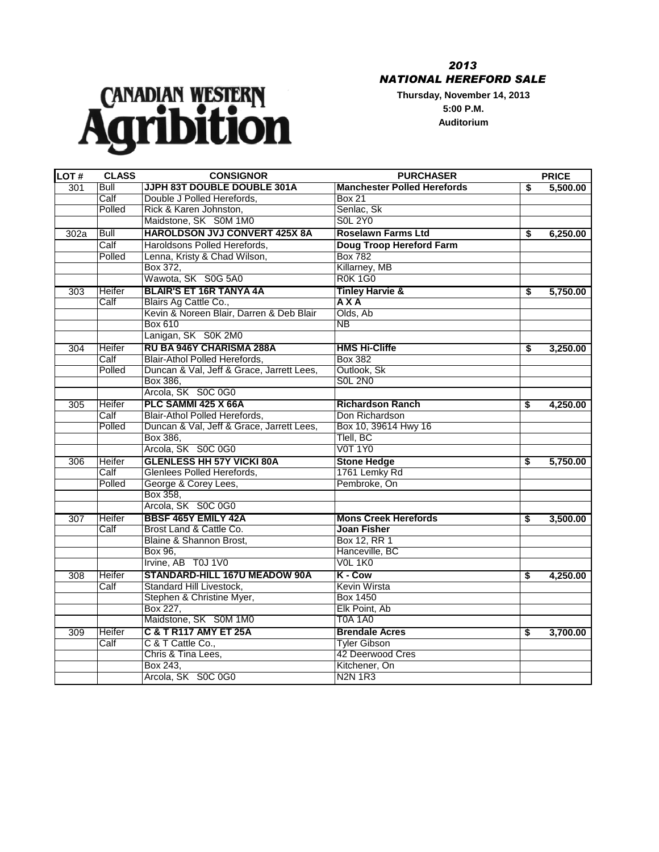## *2013 NATIONAL HEREFORD SALE*

**Thursday, November 14, 2013 5:00 P.M. Auditorium**



| <b>LOT#</b> | <b>CLASS</b> | <b>CONSIGNOR</b>                          | <b>PURCHASER</b>                   |    | <b>PRICE</b> |
|-------------|--------------|-------------------------------------------|------------------------------------|----|--------------|
| 301         | Bull         | JJPH 83T DOUBLE DOUBLE 301A               | <b>Manchester Polled Herefords</b> | \$ | 5,500.00     |
|             | Calf         | Double J Polled Herefords,                | <b>Box 21</b>                      |    |              |
|             | Polled       | Rick & Karen Johnston,                    | Senlac, Sk                         |    |              |
|             |              | Maidstone, SK S0M 1M0                     | <b>SOL 2Y0</b>                     |    |              |
| 302a        | <b>Bull</b>  | <b>HAROLDSON JVJ CONVERT 425X 8A</b>      | <b>Roselawn Farms Ltd</b>          | \$ | 6,250.00     |
|             | Calf         | Haroldsons Polled Herefords,              | Doug Troop Hereford Farm           |    |              |
|             | Polled       | Lenna, Kristy & Chad Wilson,              | <b>Box 782</b>                     |    |              |
|             |              | Box 372,                                  | Killarney, MB                      |    |              |
|             |              | Wawota, SK S0G 5A0                        | <b>R0K1G0</b>                      |    |              |
| 303         | Heifer       | <b>BLAIR'S ET 16R TANYA 4A</b>            | <b>Tinley Harvie &amp;</b>         | S. | 5,750.00     |
|             | Calf         | Blairs Ag Cattle Co.,                     | <b>AXA</b>                         |    |              |
|             |              | Kevin & Noreen Blair, Darren & Deb Blair  | Olds, Ab                           |    |              |
|             |              | Box 610                                   | $\overline{\mathsf{NB}}$           |    |              |
|             |              | Lanigan, SK S0K 2M0                       |                                    |    |              |
| 304         | Heifer       | RU BA 946Y CHARISMA 288A                  | <b>HMS Hi-Cliffe</b>               | \$ | 3,250.00     |
|             | Calf         | Blair-Athol Polled Herefords,             | <b>Box 382</b>                     |    |              |
|             | Polled       | Duncan & Val, Jeff & Grace, Jarrett Lees, | Outlook, Sk                        |    |              |
|             |              | Box 386,                                  | <b>SOL 2NO</b>                     |    |              |
|             |              | Arcola, SK S0C 0G0                        |                                    |    |              |
| 305         | Heifer       | PLC SAMMI 425 X 66A                       | <b>Richardson Ranch</b>            | \$ | 4,250.00     |
|             | Calf         | Blair-Athol Polled Herefords,             | Don Richardson                     |    |              |
|             | Polled       | Duncan & Val, Jeff & Grace, Jarrett Lees, | Box 10, 39614 Hwy 16               |    |              |
|             |              | Box 386,                                  | Tlell, BC                          |    |              |
|             |              | Arcola, SK S0C 0G0                        | <b>V0T 1Y0</b>                     |    |              |
| 306         | Heifer       | <b>GLENLESS HH 57Y VICKI 80A</b>          | <b>Stone Hedge</b>                 | \$ | 5,750.00     |
|             | Calf         | Glenlees Polled Herefords,                | 1761 Lemky Rd                      |    |              |
|             | Polled       | George & Corey Lees,                      | Pembroke, On                       |    |              |
|             |              | Box 358,                                  |                                    |    |              |
|             |              | Arcola, SK S0C 0G0                        |                                    |    |              |
| 307         | Heifer       | <b>BBSF 465Y EMILY 42A</b>                | <b>Mons Creek Herefords</b>        | \$ | 3,500.00     |
|             | Calf         | Brost Land & Cattle Co.                   | <b>Joan Fisher</b>                 |    |              |
|             |              | Blaine & Shannon Brost,                   | Box 12, RR 1                       |    |              |
|             |              | Box 96,                                   | Hanceville, BC                     |    |              |
|             |              | Irvine, AB T0J 1V0                        | V <sub>OL</sub> 1K <sub>0</sub>    |    |              |
| 308         | Heifer       | STANDARD-HILL 167U MEADOW 90A             | K - Cow                            | \$ | 4,250.00     |
|             | Calf         | Standard Hill Livestock,                  | <b>Kevin Wirsta</b>                |    |              |
|             |              | Stephen & Christine Myer,                 | <b>Box 1450</b>                    |    |              |
|             |              | Box 227,                                  | Elk Point, Ab                      |    |              |
|             |              | Maidstone, SK S0M 1M0                     | <b>T0A 1A0</b>                     |    |              |
| 309         | Heifer       | <b>C &amp; T R117 AMY ET 25A</b>          | <b>Brendale Acres</b>              | \$ | 3,700.00     |
|             | Calf         | C & T Cattle Co.,                         | <b>Tyler Gibson</b>                |    |              |
|             |              | Chris & Tina Lees,                        | 42 Deerwood Cres                   |    |              |
|             |              | Box 243,                                  | Kitchener, On                      |    |              |
|             |              | Arcola, SK S0C 0G0                        | <b>N2N 1R3</b>                     |    |              |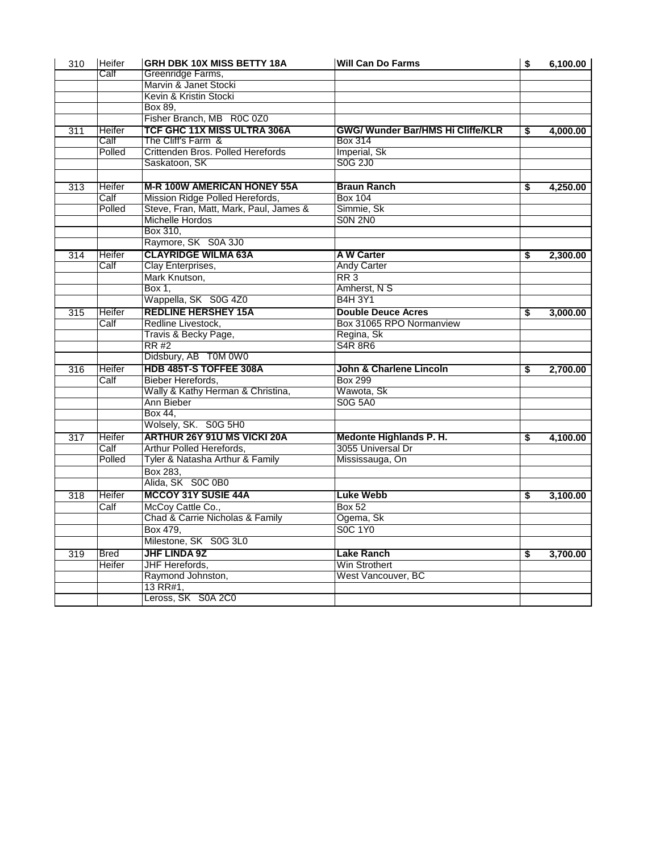| 310              | <b>Heifer</b> | GRH DBK 10X MISS BETTY 18A             | <b>Will Can Do Farms</b>                 | \$ | 6,100.00 |
|------------------|---------------|----------------------------------------|------------------------------------------|----|----------|
|                  | Calf          | Greenridge Farms,                      |                                          |    |          |
|                  |               | Marvin & Janet Stocki                  |                                          |    |          |
|                  |               | Kevin & Kristin Stocki                 |                                          |    |          |
|                  |               | Box 89.                                |                                          |    |          |
|                  |               | Fisher Branch, MB R0C 0Z0              |                                          |    |          |
| 311              | Heifer        | TCF GHC 11X MISS ULTRA 306A            | <b>GWG/ Wunder Bar/HMS Hi Cliffe/KLR</b> | \$ | 4,000.00 |
|                  | Calf          | The Cliff's Farm &                     | Box 314                                  |    |          |
|                  | Polled        | Crittenden Bros. Polled Herefords      | Imperial, Sk                             |    |          |
|                  |               | Saskatoon, SK                          | S0G 2J0                                  |    |          |
|                  |               |                                        |                                          |    |          |
| 313              | Heifer        | <b>M-R 100W AMERICAN HONEY 55A</b>     | <b>Braun Ranch</b>                       | S. | 4,250.00 |
|                  | Calf          | Mission Ridge Polled Herefords,        | <b>Box 104</b>                           |    |          |
|                  | Polled        | Steve, Fran, Matt, Mark, Paul, James & | Simmie, Sk                               |    |          |
|                  |               | Michelle Hordos                        | <b>SON 2NO</b>                           |    |          |
|                  |               | Box 310.                               |                                          |    |          |
|                  |               | Raymore, SK S0A 3J0                    |                                          |    |          |
| $\overline{314}$ | Heifer        | <b>CLAYRIDGE WILMA 63A</b>             | <b>AW Carter</b>                         | \$ | 2,300.00 |
|                  | Calf          | Clay Enterprises,                      | <b>Andy Carter</b>                       |    |          |
|                  |               | Mark Knutson,                          | RR3                                      |    |          |
|                  |               | Box 1.                                 | Amherst, N S                             |    |          |
|                  |               | Wappella, SK S0G 4Z0                   | <b>B4H3Y1</b>                            |    |          |
| 315              | Heifer        | <b>REDLINE HERSHEY 15A</b>             | <b>Double Deuce Acres</b>                | S  | 3,000.00 |
|                  | Calf          | Redline Livestock,                     | Box 31065 RPO Normanview                 |    |          |
|                  |               | Travis & Becky Page,                   | Regina, Sk                               |    |          |
|                  |               | RR #2                                  | <b>S4R 8R6</b>                           |    |          |
|                  |               | Didsbury, AB T0M 0W0                   |                                          |    |          |
| 316              | Heifer        | HDB 485T-S TOFFEE 308A                 | John & Charlene Lincoln                  | \$ | 2,700.00 |
|                  | Calf          | Bieber Herefords,                      | <b>Box 299</b>                           |    |          |
|                  |               | Wally & Kathy Herman & Christina,      | Wawota, Sk                               |    |          |
|                  |               | Ann Bieber                             | <b>S0G 5A0</b>                           |    |          |
|                  |               | Box 44,                                |                                          |    |          |
|                  |               | Wolsely, SK. S0G 5H0                   |                                          |    |          |
| 317              | Heifer        | ARTHUR 26Y 91U MS VICKI 20A            | <b>Medonte Highlands P. H.</b>           | \$ | 4,100.00 |
|                  | Calf          | Arthur Polled Herefords,               | 3055 Universal Dr                        |    |          |
|                  | Polled        | Tyler & Natasha Arthur & Family        | Mississauga, On                          |    |          |
|                  |               | Box 283,                               |                                          |    |          |
|                  |               | Alida, SK S0C 0B0                      |                                          |    |          |
| 318              | Heifer        | <b>MCCOY 31Y SUSIE 44A</b>             | <b>Luke Webb</b>                         | \$ | 3,100.00 |
|                  | Calf          | McCoy Cattle Co.,                      | <b>Box 52</b>                            |    |          |
|                  |               | Chad & Carrie Nicholas & Family        | Ogema, Sk                                |    |          |
|                  |               | Box 479,                               | <b>SOC 1Y0</b>                           |    |          |
|                  |               | Milestone, SK S0G 3L0                  |                                          |    |          |
| 319              | <b>Bred</b>   | <b>JHF LINDA 9Z</b>                    | Lake Ranch                               | \$ | 3,700.00 |
|                  | Heifer        | JHF Herefords,                         | Win Strothert                            |    |          |
|                  |               | Raymond Johnston,                      | West Vancouver, BC                       |    |          |
|                  |               | 13 RR#1,                               |                                          |    |          |
|                  |               | Leross, SK S0A 2C0                     |                                          |    |          |
|                  |               |                                        |                                          |    |          |